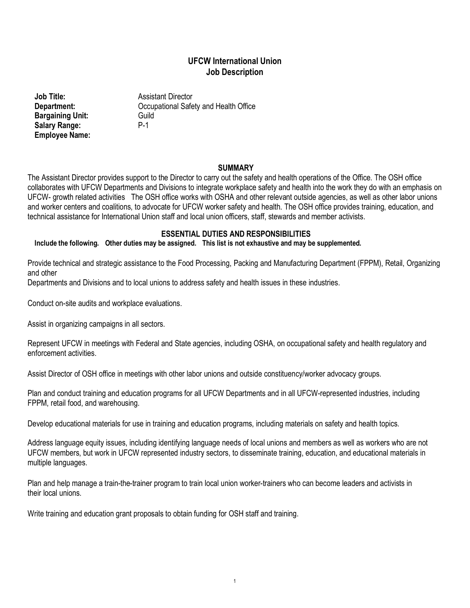## **UFCW International Union Job Description**

**Bargaining Unit:** Guild<br> **Salary Range:** P-1 **Salary Range: Employee Name:**

**Job Title:** Assistant Director **Department:** Occupational Safety and Health Office

#### **SUMMARY**

The Assistant Director provides support to the Director to carry out the safety and health operations of the Office. The OSH office collaborates with UFCW Departments and Divisions to integrate workplace safety and health into the work they do with an emphasis on UFCW- growth related activities The OSH office works with OSHA and other relevant outside agencies, as well as other labor unions and worker centers and coalitions, to advocate for UFCW worker safety and health. The OSH office provides training, education, and technical assistance for International Union staff and local union officers, staff, stewards and member activists.

## **ESSENTIAL DUTIES AND RESPONSIBILITIES**

## **Include the following. Other duties may be assigned. This list is not exhaustive and may be supplemented.**

Provide technical and strategic assistance to the Food Processing, Packing and Manufacturing Department (FPPM), Retail, Organizing and other

Departments and Divisions and to local unions to address safety and health issues in these industries.

Conduct on-site audits and workplace evaluations.

Assist in organizing campaigns in all sectors.

Represent UFCW in meetings with Federal and State agencies, including OSHA, on occupational safety and health regulatory and enforcement activities.

Assist Director of OSH office in meetings with other labor unions and outside constituency/worker advocacy groups.

Plan and conduct training and education programs for all UFCW Departments and in all UFCW-represented industries, including FPPM, retail food, and warehousing.

Develop educational materials for use in training and education programs, including materials on safety and health topics.

Address language equity issues, including identifying language needs of local unions and members as well as workers who are not UFCW members, but work in UFCW represented industry sectors, to disseminate training, education, and educational materials in multiple languages.

Plan and help manage a train-the-trainer program to train local union worker-trainers who can become leaders and activists in their local unions.

Write training and education grant proposals to obtain funding for OSH staff and training.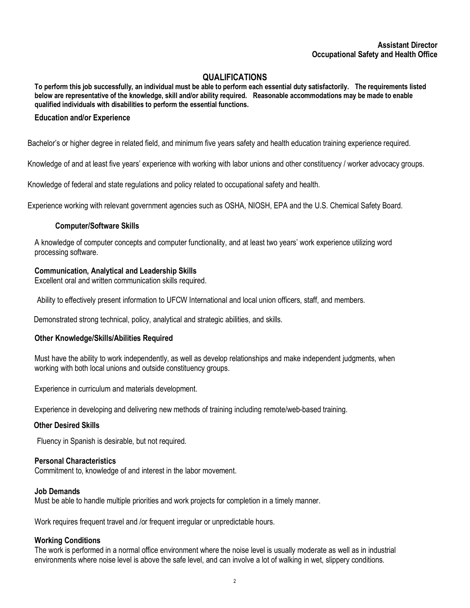# **QUALIFICATIONS**

**To perform this job successfully, an individual must be able to perform each essential duty satisfactorily. The requirements listed below are representative of the knowledge, skill and/or ability required. Reasonable accommodations may be made to enable qualified individuals with disabilities to perform the essential functions.**

## **Education and/or Experience**

Bachelor's or higher degree in related field, and minimum five years safety and health education training experience required.

Knowledge of and at least five years' experience with working with labor unions and other constituency / worker advocacy groups.

Knowledge of federal and state regulations and policy related to occupational safety and health.

Experience working with relevant government agencies such as OSHA, NIOSH, EPA and the U.S. Chemical Safety Board.

#### **Computer/Software Skills**

A knowledge of computer concepts and computer functionality, and at least two years' work experience utilizing word processing software.

#### **Communication, Analytical and Leadership Skills**

Excellent oral and written communication skills required.

Ability to effectively present information to UFCW International and local union officers, staff, and members.

Demonstrated strong technical, policy, analytical and strategic abilities, and skills.

#### **Other Knowledge/Skills/Abilities Required**

Must have the ability to work independently, as well as develop relationships and make independent judgments, when working with both local unions and outside constituency groups.

Experience in curriculum and materials development.

Experience in developing and delivering new methods of training including remote/web-based training.

#### **Other Desired Skills**

Fluency in Spanish is desirable, but not required.

#### **Personal Characteristics**

Commitment to, knowledge of and interest in the labor movement.

#### **Job Demands**

Must be able to handle multiple priorities and work projects for completion in a timely manner.

Work requires frequent travel and /or frequent irregular or unpredictable hours.

#### **Working Conditions**

The work is performed in a normal office environment where the noise level is usually moderate as well as in industrial environments where noise level is above the safe level, and can involve a lot of walking in wet, slippery conditions.